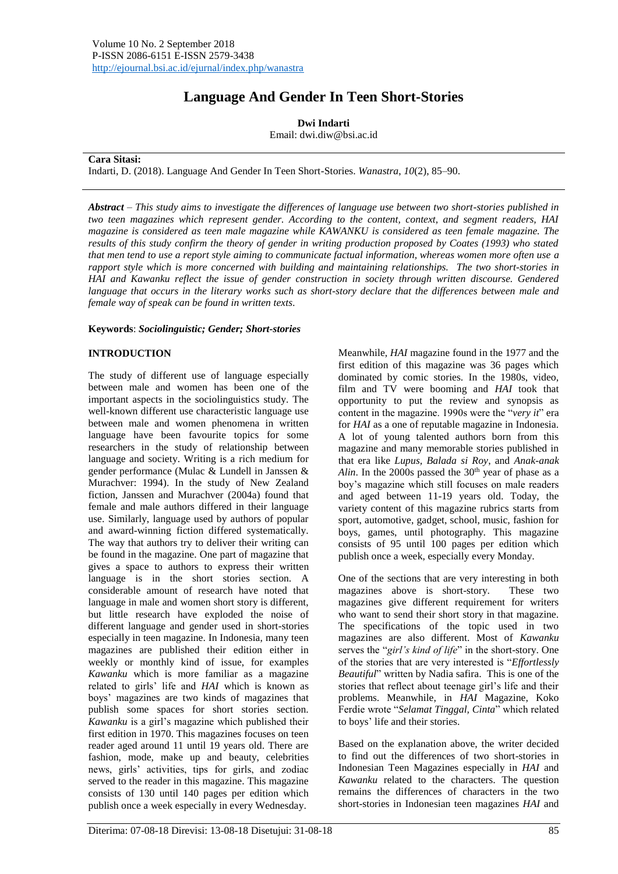# **Language And Gender In Teen Short-Stories**

**Dwi Indarti**

Email: dwi.diw@bsi.ac.id

**Cara Sitasi:**

Indarti, D. (2018). Language And Gender In Teen Short-Stories. *Wanastra*, *10*(2), 85–90.

*Abstract* – *This study aims to investigate the differences of language use between two short-stories published in two teen magazines which represent gender. According to the content, context, and segment readers, HAI magazine is considered as teen male magazine while KAWANKU is considered as teen female magazine. The results of this study confirm the theory of gender in writing production proposed by Coates (1993) who stated that men tend to use a report style aiming to communicate factual information, whereas women more often use a rapport style which is more concerned with building and maintaining relationships. The two short-stories in HAI and Kawanku reflect the issue of gender construction in society through written discourse. Gendered language that occurs in the literary works such as short-story declare that the differences between male and female way of speak can be found in written texts.*

## **Keywords**: *Sociolinguistic; Gender; Short-stories*

# **INTRODUCTION**

The study of different use of language especially between male and women has been one of the important aspects in the sociolinguistics study. The well-known different use characteristic language use between male and women phenomena in written language have been favourite topics for some researchers in the study of relationship between language and society. Writing is a rich medium for gender performance (Mulac & Lundell in Janssen & Murachver: 1994). In the study of New Zealand fiction, Janssen and Murachver (2004a) found that female and male authors differed in their language use. Similarly, language used by authors of popular and award-winning fiction differed systematically. The way that authors try to deliver their writing can be found in the magazine. One part of magazine that gives a space to authors to express their written language is in the short stories section. A considerable amount of research have noted that language in male and women short story is different, but little research have exploded the noise of different language and gender used in short-stories especially in teen magazine. In Indonesia, many teen magazines are published their edition either in weekly or monthly kind of issue, for examples *Kawanku* which is more familiar as a magazine related to girls' life and *HAI* which is known as boys' magazines are two kinds of magazines that publish some spaces for short stories section. *Kawanku* is a girl's magazine which published their first edition in 1970. This magazines focuses on teen reader aged around 11 until 19 years old. There are fashion, mode, make up and beauty, celebrities news, girls' activities, tips for girls, and zodiac served to the reader in this magazine. This magazine consists of 130 until 140 pages per edition which publish once a week especially in every Wednesday.

Meanwhile, *HAI* magazine found in the 1977 and the first edition of this magazine was 36 pages which dominated by comic stories. In the 1980s, video, film and TV were booming and *HAI* took that opportunity to put the review and synopsis as content in the magazine. 1990s were the "*very it*" era for *HAI* as a one of reputable magazine in Indonesia. A lot of young talented authors born from this magazine and many memorable stories published in that era like *Lupus, Balada si Roy*, and *Anak-anak Alin*. In the 2000s passed the  $30<sup>th</sup>$  year of phase as a boy's magazine which still focuses on male readers and aged between 11-19 years old. Today, the variety content of this magazine rubrics starts from sport, automotive, gadget, school, music, fashion for boys, games, until photography. This magazine consists of 95 until 100 pages per edition which publish once a week, especially every Monday.

One of the sections that are very interesting in both magazines above is short-story. These two magazines give different requirement for writers who want to send their short story in that magazine. The specifications of the topic used in two magazines are also different. Most of *Kawanku* serves the "*girl's kind of life*" in the short-story. One of the stories that are very interested is "*Effortlessly Beautiful*" written by Nadia safira. This is one of the stories that reflect about teenage girl's life and their problems. Meanwhile, in *HAI* Magazine, Koko Ferdie wrote "*Selamat Tinggal, Cinta*" which related to boys' life and their stories.

Based on the explanation above, the writer decided to find out the differences of two short-stories in Indonesian Teen Magazines especially in *HAI* and *Kawanku* related to the characters. The question remains the differences of characters in the two short-stories in Indonesian teen magazines *HAI* and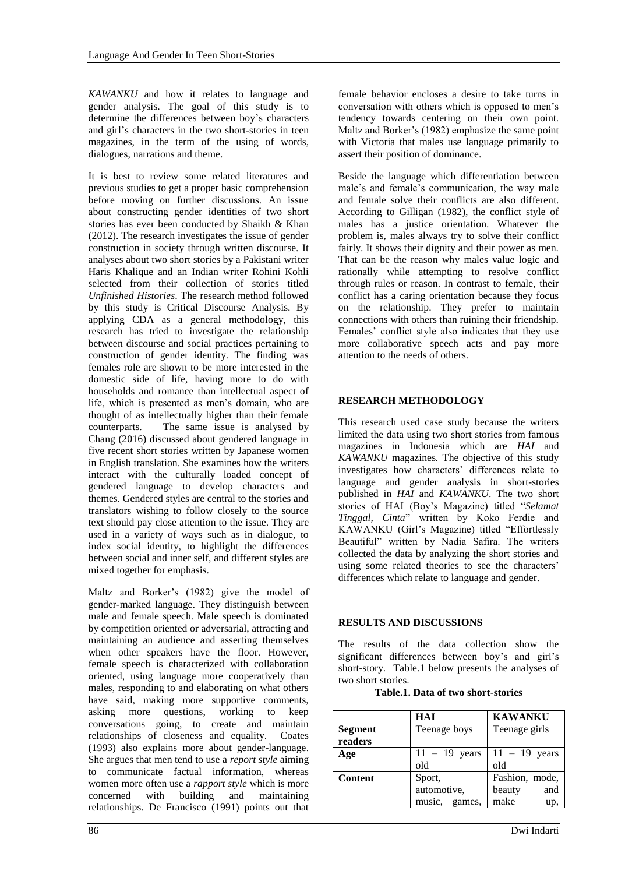*KAWANKU* and how it relates to language and gender analysis. The goal of this study is to determine the differences between boy's characters and girl's characters in the two short-stories in teen magazines, in the term of the using of words, dialogues, narrations and theme.

It is best to review some related literatures and previous studies to get a proper basic comprehension before moving on further discussions. An issue about constructing gender identities of two short stories has ever been conducted by Shaikh & Khan (2012). The research investigates the issue of gender construction in society through written discourse. It analyses about two short stories by a Pakistani writer Haris Khalique and an Indian writer Rohini Kohli selected from their collection of stories titled *Unfinished Histories*. The research method followed by this study is Critical Discourse Analysis. By applying CDA as a general methodology, this research has tried to investigate the relationship between discourse and social practices pertaining to construction of gender identity. The finding was females role are shown to be more interested in the domestic side of life, having more to do with households and romance than intellectual aspect of life, which is presented as men's domain, who are thought of as intellectually higher than their female counterparts. The same issue is analysed by Chang (2016) discussed about gendered language in five recent short stories written by Japanese women in English translation. She examines how the writers interact with the culturally loaded concept of gendered language to develop characters and themes. Gendered styles are central to the stories and translators wishing to follow closely to the source text should pay close attention to the issue. They are used in a variety of ways such as in dialogue, to index social identity, to highlight the differences between social and inner self, and different styles are mixed together for emphasis.

Maltz and Borker's (1982) give the model of gender-marked language. They distinguish between male and female speech. Male speech is dominated by competition oriented or adversarial, attracting and maintaining an audience and asserting themselves when other speakers have the floor. However, female speech is characterized with collaboration oriented, using language more cooperatively than males, responding to and elaborating on what others have said, making more supportive comments, asking more questions, working to keep conversations going, to create and maintain relationships of closeness and equality. Coates (1993) also explains more about gender-language. She argues that men tend to use a *report style* aiming to communicate factual information, whereas women more often use a *rapport style* which is more concerned with building and maintaining relationships. De Francisco (1991) points out that

female behavior encloses a desire to take turns in conversation with others which is opposed to men's tendency towards centering on their own point. Maltz and Borker's (1982) emphasize the same point with Victoria that males use language primarily to assert their position of dominance.

Beside the language which differentiation between male's and female's communication, the way male and female solve their conflicts are also different. According to Gilligan (1982), the conflict style of males has a justice orientation. Whatever the problem is, males always try to solve their conflict fairly. It shows their dignity and their power as men. That can be the reason why males value logic and rationally while attempting to resolve conflict through rules or reason. In contrast to female, their conflict has a caring orientation because they focus on the relationship. They prefer to maintain connections with others than ruining their friendship. Females' conflict style also indicates that they use more collaborative speech acts and pay more attention to the needs of others.

# **RESEARCH METHODOLOGY**

This research used case study because the writers limited the data using two short stories from famous magazines in Indonesia which are *HAI* and *KAWANKU* magazines*.* The objective of this study investigates how characters' differences relate to language and gender analysis in short-stories published in *HAI* and *KAWANKU*. The two short stories of HAI (Boy's Magazine) titled "*Selamat Tinggal, Cinta*" written by Koko Ferdie and KAWANKU (Girl's Magazine) titled "Effortlessly Beautiful" written by Nadia Safira. The writers collected the data by analyzing the short stories and using some related theories to see the characters' differences which relate to language and gender.

# **RESULTS AND DISCUSSIONS**

The results of the data collection show the significant differences between boy's and girl's short-story. Table.1 below presents the analyses of two short stories.

#### **Table.1. Data of two short-stories**

|                | HAI             | <b>KAWANKU</b>  |
|----------------|-----------------|-----------------|
| <b>Segment</b> | Teenage boys    | Teenage girls   |
| readers        |                 |                 |
| Age            | $11 - 19$ years | $11 - 19$ years |
|                | old             | old             |
| <b>Content</b> | Sport,          | Fashion, mode,  |
|                | automotive,     | and<br>beauty   |
|                | music, games,   | make<br>up      |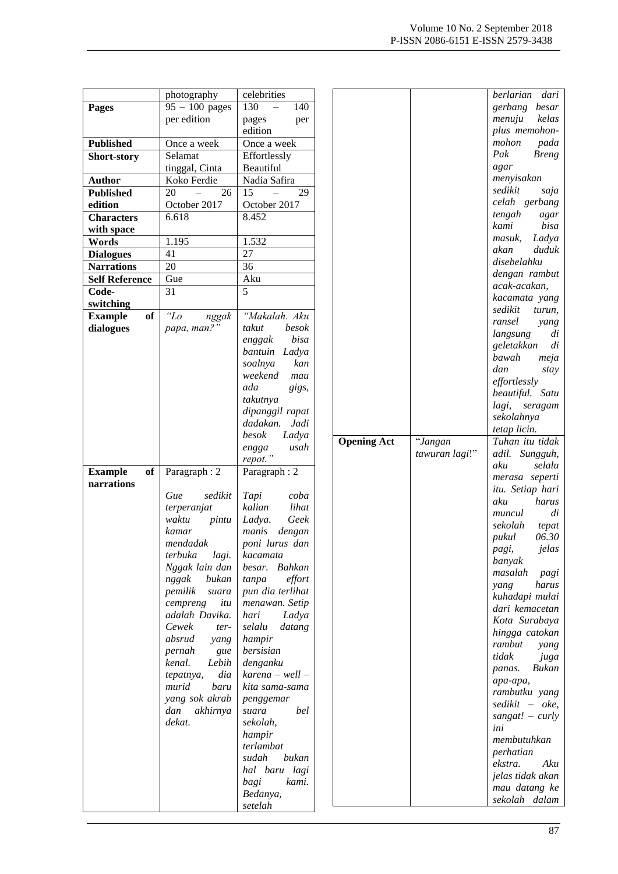|                       | photography          | celebrities            |                    |                | berlarian dari                     |
|-----------------------|----------------------|------------------------|--------------------|----------------|------------------------------------|
| <b>Pages</b>          | $95 - 100$ pages     | 130<br>140<br>$\equiv$ |                    |                | gerbang besar                      |
|                       | per edition          | pages<br>per           |                    |                | тепији<br>kelas                    |
|                       |                      | edition                |                    |                | plus memohon-                      |
| <b>Published</b>      | Once a week          | Once a week            |                    |                | mohon<br>pada                      |
|                       | Selamat              | Effortlessly           |                    |                | Pak<br><b>Breng</b>                |
| Short-story           |                      | Beautiful              |                    |                | agar                               |
|                       | tinggal, Cinta       |                        |                    |                | menyisakan                         |
| <b>Author</b>         | Koko Ferdie          | Nadia Safira           |                    |                | sedikit<br>saja                    |
| <b>Published</b>      | 20<br>$\equiv$<br>26 | 15<br>$\equiv$<br>29   |                    |                | celah gerbang                      |
| edition               | October 2017         | October 2017           |                    |                | tengah                             |
| <b>Characters</b>     | 6.618                | 8.452                  |                    |                | agar<br>kami<br>bisa               |
| with space            |                      |                        |                    |                | Ladya<br>masuk,                    |
| Words                 | 1.195                | 1.532                  |                    |                | duduk<br>akan                      |
| <b>Dialogues</b>      | 41                   | 27                     |                    |                | disebelahku                        |
| <b>Narrations</b>     | 20                   | 36                     |                    |                | dengan rambut                      |
| <b>Self Reference</b> | Gue                  | Aku                    |                    |                | acak-acakan,                       |
| Code-                 | 31                   | 5                      |                    |                | kacamata yang                      |
| switching             |                      |                        |                    |                |                                    |
| <b>Example</b><br>of  | "Lo<br>nggak         | "Makalah. Aku          |                    |                | sedikit<br>turun,<br>ransel        |
| dialogues             | papa, man?"          | takut<br>besok         |                    |                | yang                               |
|                       |                      | bisa<br>enggak         |                    |                | langsung<br>di<br>di<br>geletakkan |
|                       |                      | bantuin Ladya          |                    |                | bawah<br>meja                      |
|                       |                      | soalnya<br>kan         |                    |                | dan                                |
|                       |                      | weekend<br>mau         |                    |                | stay<br>effortlessly               |
|                       |                      | ada<br>gigs,           |                    |                | beautiful. Satu                    |
|                       |                      | takutnya               |                    |                | lagi, seragam                      |
|                       |                      | dipanggil rapat        |                    |                | sekolahnya                         |
|                       |                      | Jadi<br>dadakan.       |                    |                | tetap licin.                       |
|                       |                      | besok<br>Ladya         |                    | "Jangan        | Tuhan itu tidak                    |
|                       |                      | usah<br>engga          | <b>Opening Act</b> |                |                                    |
|                       |                      | repot."                |                    | tawuran lagi!" | adil. Sungguh,                     |
|                       |                      |                        |                    |                |                                    |
| <b>Example</b><br>of  | Paragraph: 2         | Paragraph: 2           |                    |                | aku<br>selalu                      |
| narrations            |                      |                        |                    |                | merasa seperti                     |
|                       | sedikit<br>Gue       | Tapi<br>coba           |                    |                | itu. Setiap hari                   |
|                       | terperanjat          | lihat<br>kalian        |                    |                | aku<br>harus                       |
|                       | waktu<br>pintu       | Geek<br>Ladya.         |                    |                | di<br>muncul                       |
|                       | kamar                | manis<br>dengan        |                    |                | sekolah<br>tepat                   |
|                       | mendadak             | poni lurus dan         |                    |                | 06.30<br>pukul                     |
|                       | terbuka<br>lagi.     | kacamata               |                    |                | pagi,<br>jelas                     |
|                       | Nggak lain dan       | besar. Bahkan          |                    |                | banyak                             |
|                       | nggak<br>bukan       | effort<br>tanpa        |                    |                | masalah<br>pagi                    |
|                       | pemilik<br>suara     | pun dia terlihat       |                    |                | harus<br>yang                      |
|                       | cempreng<br>itu      | menawan. Setip         |                    |                | kuhadapi mulai                     |
|                       | adalah Davika.       | hari<br>Ladya          |                    |                | dari kemacetan                     |
|                       | Cewek<br>ter-        | selalu<br>datang       |                    |                | Kota Surabaya                      |
|                       | absrud<br>yang       | hampir                 |                    |                | hingga catokan                     |
|                       | pernah<br>gue        | bersisian              |                    |                | rambut<br>yang                     |
|                       | Lebih<br>kenal.      | denganku               |                    |                | tidak<br>juga                      |
|                       | dia<br>tepatnya,     | $karena - well -$      |                    |                | Bukan<br>panas.                    |
|                       | murid<br>baru        | kita sama-sama         |                    |                | apa-apa,                           |
|                       | yang sok akrab       | penggemar              |                    |                | rambutku yang                      |
|                       | dan<br>akhirnya      | bel<br>suara           |                    |                | sedikit – oke,                     |
|                       | dekat.               | sekolah,               |                    |                | sangat! $-$ curly<br>ini           |
|                       |                      | hampir                 |                    |                |                                    |
|                       |                      | terlambat              |                    |                | membutuhkan                        |
|                       |                      | sudah<br>bukan         |                    |                | perhatian<br>Aku                   |
|                       |                      | hal baru lagi          |                    |                | ekstra.                            |
|                       |                      | kami.<br>bagi          |                    |                | jelas tidak akan                   |
|                       |                      | Bedanya,<br>setelah    |                    |                | mau datang ke<br>sekolah dalam     |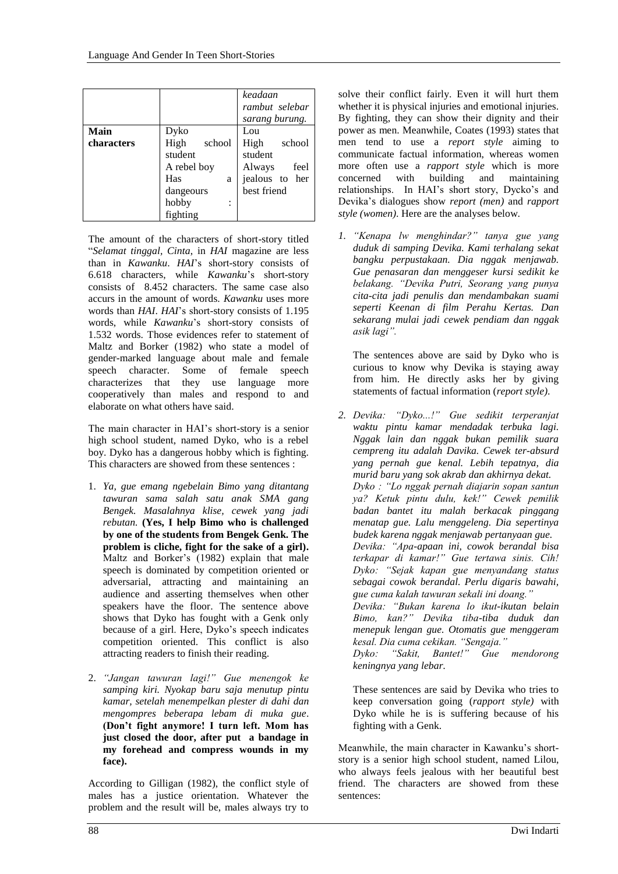|            |                | keadaan<br>rambut selebar<br>sarang burung. |
|------------|----------------|---------------------------------------------|
| Main       | Dyko           | Lou                                         |
| characters | High<br>school | High<br>school                              |
|            | student        | student                                     |
|            | A rebel boy    | Always<br>feel                              |
|            | Has<br>a       | jealous to her                              |
|            | dangeours      | best friend                                 |
|            | hobby          |                                             |
|            | fighting       |                                             |

The amount of the characters of short-story titled "*Selamat tinggal, Cinta*, in *HAI* magazine are less than in *Kawanku*. *HAI*'s short-story consists of 6.618 characters, while *Kawanku*'s short-story consists of 8.452 characters. The same case also accurs in the amount of words. *Kawanku* uses more words than *HAI*. *HAI*'s short-story consists of 1.195 words, while *Kawanku*'s short-story consists of 1.532 words. Those evidences refer to statement of Maltz and Borker (1982) who state a model of gender-marked language about male and female speech character. Some of female speech characterizes that they use language more cooperatively than males and respond to and elaborate on what others have said.

The main character in HAI's short-story is a senior high school student, named Dyko, who is a rebel boy. Dyko has a dangerous hobby which is fighting. This characters are showed from these sentences :

- 1. *Ya, gue emang ngebelain Bimo yang ditantang tawuran sama salah satu anak SMA gang Bengek. Masalahnya klise, cewek yang jadi rebutan.* **(Yes, I help Bimo who is challenged by one of the students from Bengek Genk. The problem is cliche, fight for the sake of a girl).**  Maltz and Borker's (1982) explain that male speech is dominated by competition oriented or adversarial, attracting and maintaining an audience and asserting themselves when other speakers have the floor. The sentence above shows that Dyko has fought with a Genk only because of a girl. Here, Dyko's speech indicates competition oriented. This conflict is also attracting readers to finish their reading.
- 2. *"Jangan tawuran lagi!" Gue menengok ke samping kiri. Nyokap baru saja menutup pintu kamar, setelah menempelkan plester di dahi dan mengompres beberapa lebam di muka gue*. **(Don't fight anymore! I turn left. Mom has just closed the door, after put a bandage in my forehead and compress wounds in my face).**

According to Gilligan (1982), the conflict style of males has a justice orientation. Whatever the problem and the result will be, males always try to

solve their conflict fairly. Even it will hurt them whether it is physical injuries and emotional injuries. By fighting, they can show their dignity and their power as men. Meanwhile, Coates (1993) states that men tend to use a *report style* aiming to communicate factual information, whereas women more often use a *rapport style* which is more concerned with building and maintaining relationships. In HAI's short story, Dycko's and Devika's dialogues show *report (men)* and *rapport style (women)*. Here are the analyses below.

*1. "Kenapa lw menghindar?" tanya gue yang duduk di samping Devika. Kami terhalang sekat bangku perpustakaan. Dia nggak menjawab. Gue penasaran dan menggeser kursi sedikit ke belakang. "Devika Putri, Seorang yang punya cita-cita jadi penulis dan mendambakan suami seperti Keenan di film Perahu Kertas. Dan sekarang mulai jadi cewek pendiam dan nggak asik lagi".*

The sentences above are said by Dyko who is curious to know why Devika is staying away from him. He directly asks her by giving statements of factual information (*report style)*.

*2. Devika: "Dyko...!" Gue sedikit terperanjat waktu pintu kamar mendadak terbuka lagi. Nggak lain dan nggak bukan pemilik suara cempreng itu adalah Davika. Cewek ter-absurd yang pernah gue kenal. Lebih tepatnya, dia murid baru yang sok akrab dan akhirnya dekat. Dyko : "Lo nggak pernah diajarin sopan santun ya? Ketuk pintu dulu, kek!" Cewek pemilik badan bantet itu malah berkacak pinggang menatap gue. Lalu menggeleng. Dia sepertinya budek karena nggak menjawab pertanyaan gue. Devika: "Apa-apaan ini, cowok berandal bisa terkapar di kamar!" Gue tertawa sinis. Cih! Dyko: "Sejak kapan gue menyandang status sebagai cowok berandal. Perlu digaris bawahi, gue cuma kalah tawuran sekali ini doang." Devika: "Bukan karena lo ikut-ikutan belain Bimo, kan?" Devika tiba-tiba duduk dan menepuk lengan gue. Otomatis gue menggeram kesal. Dia cuma cekikan. "Sengaja."* 

*Dyko: "Sakit, Bantet!" Gue mendorong keningnya yang lebar.*

These sentences are said by Devika who tries to keep conversation going (*rapport style)* with Dyko while he is is suffering because of his fighting with a Genk.

Meanwhile, the main character in Kawanku's shortstory is a senior high school student, named Lilou, who always feels jealous with her beautiful best friend. The characters are showed from these sentences: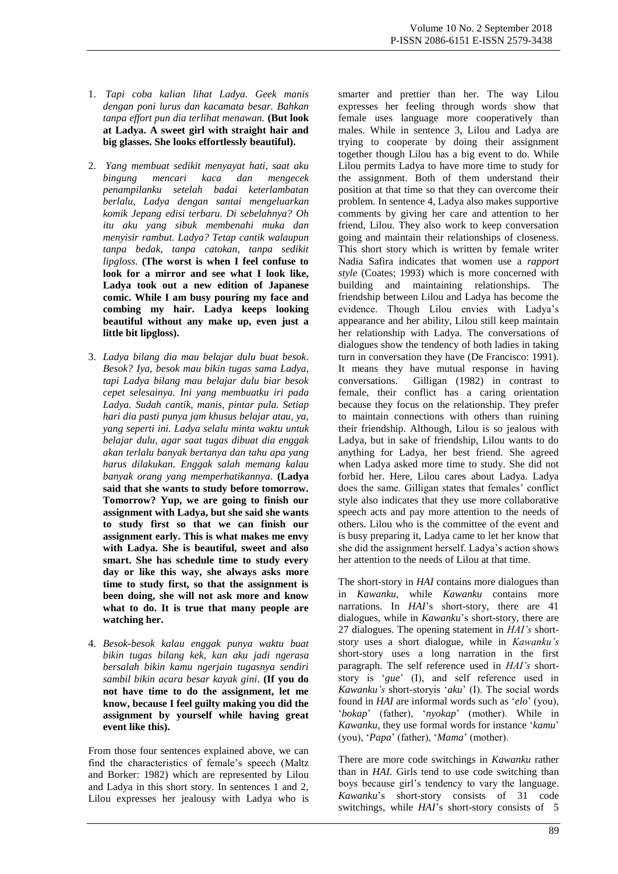- 1. *Tapi coba kalian lihat Ladya. Geek manis dengan poni lurus dan kacamata besar. Bahkan tanpa effort pun dia terlihat menawan.* **(But look at Ladya. A sweet girl with straight hair and big glasses. She looks effortlessly beautiful).**
- 2. *Yang membuat sedikit menyayat hati, saat aku bingung mencari kaca dan mengecek penampilanku setelah badai keterlambatan berlalu, Ladya dengan santai mengeluarkan komik Jepang edisi terbaru. Di sebelahnya? Oh itu aku yang sibuk membenahi muka dan menyisir rambut. Ladya? Tetap cantik walaupun tanpa bedak, tanpa catokan, tanpa sedikit lipgloss*. **(The worst is when I feel confuse to look for a mirror and see what I look like, Ladya took out a new edition of Japanese comic. While I am busy pouring my face and combing my hair. Ladya keeps looking beautiful without any make up, even just a little bit lipgloss).**
- 3. *Ladya bilang dia mau belajar dulu buat besok. Besok? Iya, besok mau bikin tugas sama Ladya, tapi Ladya bilang mau belajar dulu biar besok cepet selesainya. Ini yang membuatku iri pada Ladya. Sudah cantik, manis, pintar pula. Setiap hari dia pasti punya jam khusus belajar atau, ya, yang seperti ini. Ladya selalu minta waktu untuk belajar dulu, agar saat tugas dibuat dia enggak akan terlalu banyak bertanya dan tahu apa yang harus dilakukan. Enggak salah memang kalau banyak orang yang memperhatikannya*. **(Ladya said that she wants to study before tomorrow. Tomorrow? Yup, we are going to finish our assignment with Ladya, but she said she wants to study first so that we can finish our assignment early. This is what makes me envy with Ladya. She is beautiful, sweet and also smart. She has schedule time to study every day or like this way, she always asks more time to study first, so that the assignment is been doing, she will not ask more and know what to do. It is true that many people are watching her.**
- 4. *Besok-besok kalau enggak punya waktu buat bikin tugas bilang kek, kan aku jadi ngerasa bersalah bikin kamu ngerjain tugasnya sendiri sambil bikin acara besar kayak gini*. **(If you do not have time to do the assignment, let me know, because I feel guilty making you did the assignment by yourself while having great event like this).**

From those four sentences explained above, we can find the characteristics of female's speech (Maltz and Borker: 1982) which are represented by Lilou and Ladya in this short story. In sentences 1 and 2, Lilou expresses her jealousy with Ladya who is

smarter and prettier than her. The way Lilou expresses her feeling through words show that female uses language more cooperatively than males. While in sentence 3, Lilou and Ladya are trying to cooperate by doing their assignment together though Lilou has a big event to do. While Lilou permits Ladya to have more time to study for the assignment. Both of them understand their position at that time so that they can overcome their problem. In sentence 4, Ladya also makes supportive comments by giving her care and attention to her friend, Lilou. They also work to keep conversation going and maintain their relationships of closeness. This short story which is written by female writer Nadia Safira indicates that women use a *rapport style* (Coates; 1993) which is more concerned with building and maintaining relationships. The friendship between Lilou and Ladya has become the evidence. Though Lilou envies with Ladya's appearance and her ability, Lilou still keep maintain her relationship with Ladya. The conversations of dialogues show the tendency of both ladies in taking turn in conversation they have (De Francisco: 1991). It means they have mutual response in having conversations. Gilligan (1982) in contrast to female, their conflict has a caring orientation because they focus on the relationship. They prefer to maintain connections with others than ruining their friendship. Although, Lilou is so jealous with Ladya, but in sake of friendship, Lilou wants to do anything for Ladya, her best friend. She agreed when Ladya asked more time to study. She did not forbid her. Here, Lilou cares about Ladya. Ladya does the same. Gilligan states that females' conflict style also indicates that they use more collaborative speech acts and pay more attention to the needs of others. Lilou who is the committee of the event and is busy preparing it, Ladya came to let her know that she did the assignment herself. Ladya's action shows her attention to the needs of Lilou at that time.

The short-story in *HAI* contains more dialogues than in *Kawanku*, while *Kawanku* contains more narrations. In *HAI*'s short-story, there are 41 dialogues, while in *Kawanku*'s short-story, there are 27 dialogues. The opening statement in *HAI's* shortstor*y* uses a short dialogue, while in *Kawanku's*  short-story uses a long narration in the first paragraph. The self reference used in *HAI's* shortstory is '*gue*' (I), and self reference used in *Kawanku's* short-storyis '*aku*' (I). The social words found in *HAI* are informal words such as '*elo*' (you), '*bokap*' (father), '*nyokap*' (mother). While in *Kawanku,* they use formal words for instance '*kamu*' (you), '*Papa*' (father), '*Mama*' (mother).

There are more code switchings in *Kawanku* rather than in *HAI*. Girls tend to use code switching than boys because girl's tendency to vary the language. *Kawanku*'s short-story consists of 31 code switchings, while *HAI*'s short-story consists of 5